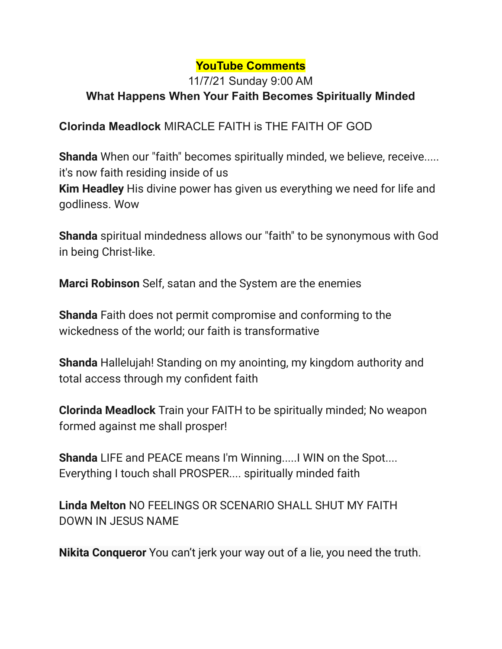## **YouTube Comments**

## 11/7/21 Sunday 9:00 AM **What Happens When Your Faith Becomes Spiritually Minded**

## **Clorinda Meadlock** MIRACLE FAITH is THE FAITH OF GOD

**Shanda** When our "faith" becomes spiritually minded, we believe, receive..... it's now faith residing inside of us

**Kim Headley** His divine power has given us everything we need for life and godliness. Wow

**Shanda** spiritual mindedness allows our "faith" to be synonymous with God in being Christ-like.

**Marci Robinson** Self, satan and the System are the enemies

**Shanda** Faith does not permit compromise and conforming to the wickedness of the world; our faith is transformative

**Shanda** Hallelujah! Standing on my anointing, my kingdom authority and total access through my confident faith

**Clorinda Meadlock** Train your FAITH to be spiritually minded; No weapon formed against me shall prosper!

**Shanda** LIFE and PEACE means I'm Winning.....I WIN on the Spot.... Everything I touch shall PROSPER.... spiritually minded faith

**Linda Melton** NO FEELINGS OR SCENARIO SHALL SHUT MY FAITH DOWN IN JESUS NAME

**Nikita Conqueror** You can't jerk your way out of a lie, you need the truth.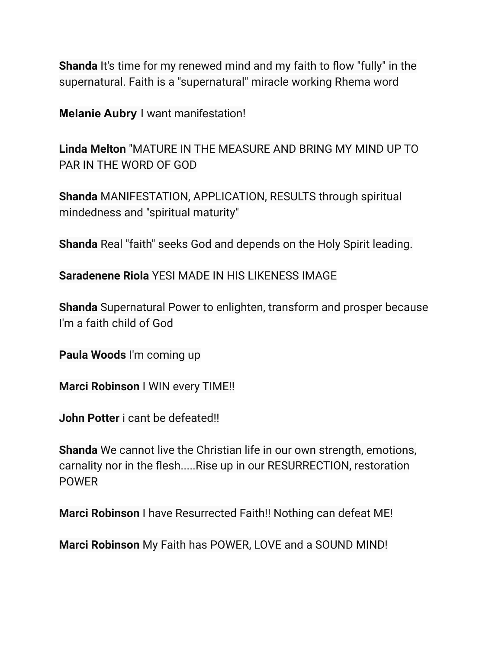**Shanda** It's time for my renewed mind and my faith to flow "fully" in the supernatural. Faith is a "supernatural" miracle working Rhema word

**Melanie Aubry** I want manifestation!

**Linda Melton** "MATURE IN THE MEASURE AND BRING MY MIND UP TO PAR IN THE WORD OF GOD

**Shanda** MANIFESTATION, APPLICATION, RESULTS through spiritual mindedness and "spiritual maturity"

**Shanda** Real "faith" seeks God and depends on the Holy Spirit leading.

**Saradenene Riola** YESI MADE IN HIS LIKENESS IMAGE

**Shanda** Supernatural Power to enlighten, transform and prosper because I'm a faith child of God

**Paula Woods** I'm coming up

**Marci Robinson** I WIN every TIME!!

**John Potter** i cant be defeated!!

**Shanda** We cannot live the Christian life in our own strength, emotions, carnality nor in the flesh.....Rise up in our RESURRECTION, restoration POWER

**Marci Robinson** I have Resurrected Faith!! Nothing can defeat ME!

**Marci Robinson** My Faith has POWER, LOVE and a SOUND MIND!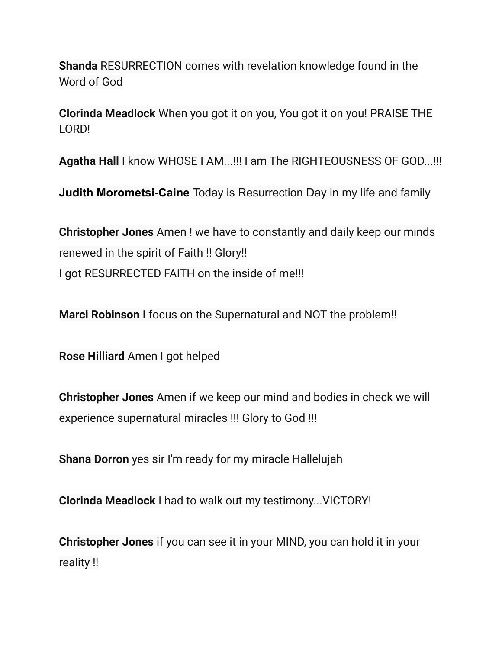**Shanda** RESURRECTION comes with revelation knowledge found in the Word of God

**Clorinda Meadlock** When you got it on you, You got it on you! PRAISE THE LORD!

**Agatha Hall** I know WHOSE I AM...!!! I am The RIGHTEOUSNESS OF GOD...!!!

**Judith Morometsi-Caine** Today is Resurrection Day in my life and family

**Christopher Jones** Amen ! we have to constantly and daily keep our minds renewed in the spirit of Faith !! Glory!! I got RESURRECTED FAITH on the inside of me!!!

**Marci Robinson** I focus on the Supernatural and NOT the problem!!

**Rose Hilliard** Amen I got helped

**Christopher Jones** Amen if we keep our mind and bodies in check we will experience supernatural miracles !!! Glory to God !!!

**Shana Dorron** yes sir I'm ready for my miracle Hallelujah

**Clorinda Meadlock** I had to walk out my testimony...VICTORY!

**Christopher Jones** if you can see it in your MIND, you can hold it in your reality !!